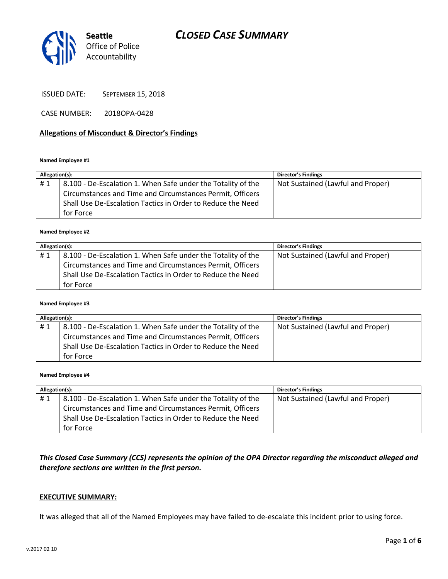

ISSUED DATE: SEPTEMBER 15, 2018

CASE NUMBER: 2018OPA-0428

### **Allegations of Misconduct & Director's Findings**

**Named Employee #1**

| Allegation(s): |                                                              | <b>Director's Findings</b>        |
|----------------|--------------------------------------------------------------|-----------------------------------|
| #1             | 8.100 - De-Escalation 1. When Safe under the Totality of the | Not Sustained (Lawful and Proper) |
|                | Circumstances and Time and Circumstances Permit, Officers    |                                   |
|                | Shall Use De-Escalation Tactics in Order to Reduce the Need  |                                   |
|                | for Force                                                    |                                   |

#### **Named Employee #2**

| Allegation(s): |                                                              | <b>Director's Findings</b>        |
|----------------|--------------------------------------------------------------|-----------------------------------|
| #1             | 8.100 - De-Escalation 1. When Safe under the Totality of the | Not Sustained (Lawful and Proper) |
|                | Circumstances and Time and Circumstances Permit, Officers    |                                   |
|                | Shall Use De-Escalation Tactics in Order to Reduce the Need  |                                   |
|                | for Force                                                    |                                   |

#### **Named Employee #3**

| Allegation(s): |                                                              | <b>Director's Findings</b>        |
|----------------|--------------------------------------------------------------|-----------------------------------|
| #1             | 8.100 - De-Escalation 1. When Safe under the Totality of the | Not Sustained (Lawful and Proper) |
|                | Circumstances and Time and Circumstances Permit, Officers    |                                   |
|                | Shall Use De-Escalation Tactics in Order to Reduce the Need  |                                   |
|                | for Force                                                    |                                   |

**Named Employee #4**

| Allegation(s): |                                                              | Director's Findings               |
|----------------|--------------------------------------------------------------|-----------------------------------|
| #1             | 8.100 - De-Escalation 1. When Safe under the Totality of the | Not Sustained (Lawful and Proper) |
|                | Circumstances and Time and Circumstances Permit, Officers    |                                   |
|                | Shall Use De-Escalation Tactics in Order to Reduce the Need  |                                   |
|                | for Force                                                    |                                   |

*This Closed Case Summary (CCS) represents the opinion of the OPA Director regarding the misconduct alleged and therefore sections are written in the first person.* 

### **EXECUTIVE SUMMARY:**

It was alleged that all of the Named Employees may have failed to de-escalate this incident prior to using force.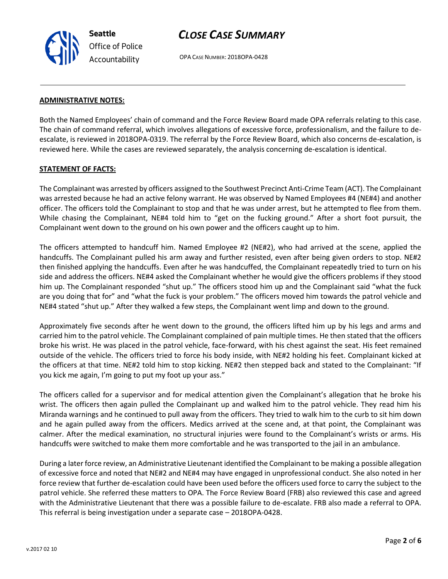

OPA CASE NUMBER: 2018OPA-0428

#### **ADMINISTRATIVE NOTES:**

Both the Named Employees' chain of command and the Force Review Board made OPA referrals relating to this case. The chain of command referral, which involves allegations of excessive force, professionalism, and the failure to deescalate, is reviewed in 2018OPA-0319. The referral by the Force Review Board, which also concerns de-escalation, is reviewed here. While the cases are reviewed separately, the analysis concerning de-escalation is identical.

#### **STATEMENT OF FACTS:**

The Complainant was arrested by officers assigned to the Southwest Precinct Anti-Crime Team (ACT). The Complainant was arrested because he had an active felony warrant. He was observed by Named Employees #4 (NE#4) and another officer. The officers told the Complainant to stop and that he was under arrest, but he attempted to flee from them. While chasing the Complainant, NE#4 told him to "get on the fucking ground." After a short foot pursuit, the Complainant went down to the ground on his own power and the officers caught up to him.

The officers attempted to handcuff him. Named Employee #2 (NE#2), who had arrived at the scene, applied the handcuffs. The Complainant pulled his arm away and further resisted, even after being given orders to stop. NE#2 then finished applying the handcuffs. Even after he was handcuffed, the Complainant repeatedly tried to turn on his side and address the officers. NE#4 asked the Complainant whether he would give the officers problems if they stood him up. The Complainant responded "shut up." The officers stood him up and the Complainant said "what the fuck are you doing that for" and "what the fuck is your problem." The officers moved him towards the patrol vehicle and NE#4 stated "shut up." After they walked a few steps, the Complainant went limp and down to the ground.

Approximately five seconds after he went down to the ground, the officers lifted him up by his legs and arms and carried him to the patrol vehicle. The Complainant complained of pain multiple times. He then stated that the officers broke his wrist. He was placed in the patrol vehicle, face-forward, with his chest against the seat. His feet remained outside of the vehicle. The officers tried to force his body inside, with NE#2 holding his feet. Complainant kicked at the officers at that time. NE#2 told him to stop kicking. NE#2 then stepped back and stated to the Complainant: "If you kick me again, I'm going to put my foot up your ass."

The officers called for a supervisor and for medical attention given the Complainant's allegation that he broke his wrist. The officers then again pulled the Complainant up and walked him to the patrol vehicle. They read him his Miranda warnings and he continued to pull away from the officers. They tried to walk him to the curb to sit him down and he again pulled away from the officers. Medics arrived at the scene and, at that point, the Complainant was calmer. After the medical examination, no structural injuries were found to the Complainant's wrists or arms. His handcuffs were switched to make them more comfortable and he was transported to the jail in an ambulance.

During a later force review, an Administrative Lieutenant identified the Complainant to be making a possible allegation of excessive force and noted that NE#2 and NE#4 may have engaged in unprofessional conduct. She also noted in her force review that further de-escalation could have been used before the officers used force to carry the subject to the patrol vehicle. She referred these matters to OPA. The Force Review Board (FRB) also reviewed this case and agreed with the Administrative Lieutenant that there was a possible failure to de-escalate. FRB also made a referral to OPA. This referral is being investigation under a separate case – 2018OPA-0428.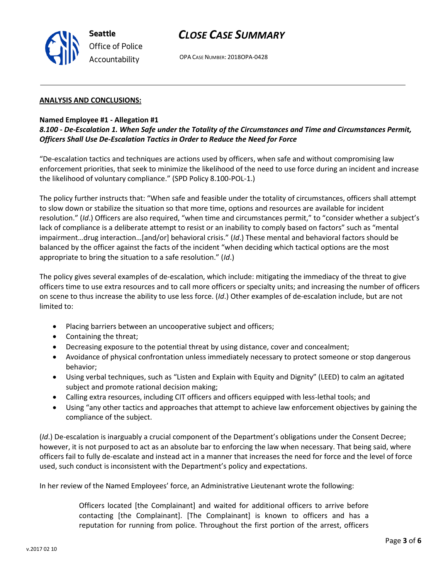

OPA CASE NUMBER: 2018OPA-0428

#### **ANALYSIS AND CONCLUSIONS:**

### **Named Employee #1 - Allegation #1**

### *8.100 - De-Escalation 1. When Safe under the Totality of the Circumstances and Time and Circumstances Permit, Officers Shall Use De-Escalation Tactics in Order to Reduce the Need for Force*

"De-escalation tactics and techniques are actions used by officers, when safe and without compromising law enforcement priorities, that seek to minimize the likelihood of the need to use force during an incident and increase the likelihood of voluntary compliance." (SPD Policy 8.100-POL-1.)

The policy further instructs that: "When safe and feasible under the totality of circumstances, officers shall attempt to slow down or stabilize the situation so that more time, options and resources are available for incident resolution." (*Id*.) Officers are also required, "when time and circumstances permit," to "consider whether a subject's lack of compliance is a deliberate attempt to resist or an inability to comply based on factors" such as "mental impairment…drug interaction…[and/or] behavioral crisis." (*Id*.) These mental and behavioral factors should be balanced by the officer against the facts of the incident "when deciding which tactical options are the most appropriate to bring the situation to a safe resolution." (*Id*.)

The policy gives several examples of de-escalation, which include: mitigating the immediacy of the threat to give officers time to use extra resources and to call more officers or specialty units; and increasing the number of officers on scene to thus increase the ability to use less force. (*Id*.) Other examples of de-escalation include, but are not limited to:

- Placing barriers between an uncooperative subject and officers;
- Containing the threat;
- Decreasing exposure to the potential threat by using distance, cover and concealment;
- Avoidance of physical confrontation unless immediately necessary to protect someone or stop dangerous behavior;
- Using verbal techniques, such as "Listen and Explain with Equity and Dignity" (LEED) to calm an agitated subject and promote rational decision making;
- Calling extra resources, including CIT officers and officers equipped with less-lethal tools; and
- Using "any other tactics and approaches that attempt to achieve law enforcement objectives by gaining the compliance of the subject.

(*Id*.) De-escalation is inarguably a crucial component of the Department's obligations under the Consent Decree; however, it is not purposed to act as an absolute bar to enforcing the law when necessary. That being said, where officers fail to fully de-escalate and instead act in a manner that increases the need for force and the level of force used, such conduct is inconsistent with the Department's policy and expectations.

In her review of the Named Employees' force, an Administrative Lieutenant wrote the following:

Officers located [the Complainant] and waited for additional officers to arrive before contacting [the Complainant]. [The Complainant] is known to officers and has a reputation for running from police. Throughout the first portion of the arrest, officers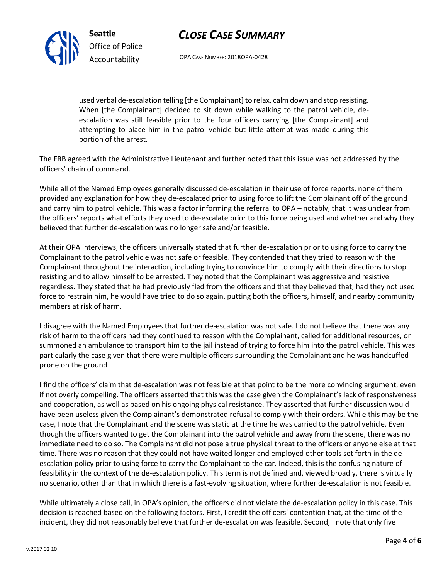

OPA CASE NUMBER: 2018OPA-0428

used verbal de-escalation telling [the Complainant] to relax, calm down and stop resisting. When [the Complainant] decided to sit down while walking to the patrol vehicle, deescalation was still feasible prior to the four officers carrying [the Complainant] and attempting to place him in the patrol vehicle but little attempt was made during this portion of the arrest.

The FRB agreed with the Administrative Lieutenant and further noted that this issue was not addressed by the officers' chain of command.

While all of the Named Employees generally discussed de-escalation in their use of force reports, none of them provided any explanation for how they de-escalated prior to using force to lift the Complainant off of the ground and carry him to patrol vehicle. This was a factor informing the referral to OPA – notably, that it was unclear from the officers' reports what efforts they used to de-escalate prior to this force being used and whether and why they believed that further de-escalation was no longer safe and/or feasible.

At their OPA interviews, the officers universally stated that further de-escalation prior to using force to carry the Complainant to the patrol vehicle was not safe or feasible. They contended that they tried to reason with the Complainant throughout the interaction, including trying to convince him to comply with their directions to stop resisting and to allow himself to be arrested. They noted that the Complainant was aggressive and resistive regardless. They stated that he had previously fled from the officers and that they believed that, had they not used force to restrain him, he would have tried to do so again, putting both the officers, himself, and nearby community members at risk of harm.

I disagree with the Named Employees that further de-escalation was not safe. I do not believe that there was any risk of harm to the officers had they continued to reason with the Complainant, called for additional resources, or summoned an ambulance to transport him to the jail instead of trying to force him into the patrol vehicle. This was particularly the case given that there were multiple officers surrounding the Complainant and he was handcuffed prone on the ground

I find the officers' claim that de-escalation was not feasible at that point to be the more convincing argument, even if not overly compelling. The officers asserted that this was the case given the Complainant's lack of responsiveness and cooperation, as well as based on his ongoing physical resistance. They asserted that further discussion would have been useless given the Complainant's demonstrated refusal to comply with their orders. While this may be the case, I note that the Complainant and the scene was static at the time he was carried to the patrol vehicle. Even though the officers wanted to get the Complainant into the patrol vehicle and away from the scene, there was no immediate need to do so. The Complainant did not pose a true physical threat to the officers or anyone else at that time. There was no reason that they could not have waited longer and employed other tools set forth in the deescalation policy prior to using force to carry the Complainant to the car. Indeed, this is the confusing nature of feasibility in the context of the de-escalation policy. This term is not defined and, viewed broadly, there is virtually no scenario, other than that in which there is a fast-evolving situation, where further de-escalation is not feasible.

While ultimately a close call, in OPA's opinion, the officers did not violate the de-escalation policy in this case. This decision is reached based on the following factors. First, I credit the officers' contention that, at the time of the incident, they did not reasonably believe that further de-escalation was feasible. Second, I note that only five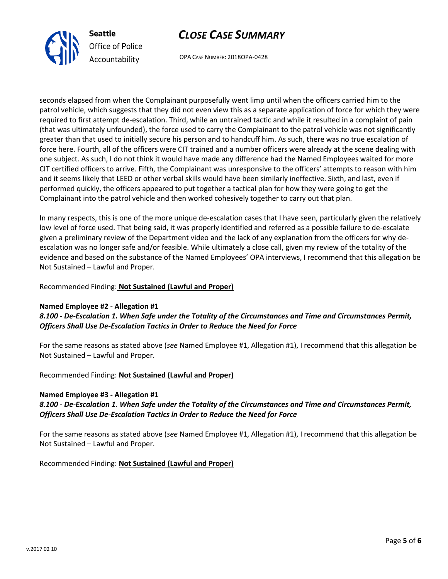

OPA CASE NUMBER: 2018OPA-0428

seconds elapsed from when the Complainant purposefully went limp until when the officers carried him to the patrol vehicle, which suggests that they did not even view this as a separate application of force for which they were required to first attempt de-escalation. Third, while an untrained tactic and while it resulted in a complaint of pain (that was ultimately unfounded), the force used to carry the Complainant to the patrol vehicle was not significantly greater than that used to initially secure his person and to handcuff him. As such, there was no true escalation of force here. Fourth, all of the officers were CIT trained and a number officers were already at the scene dealing with one subject. As such, I do not think it would have made any difference had the Named Employees waited for more CIT certified officers to arrive. Fifth, the Complainant was unresponsive to the officers' attempts to reason with him and it seems likely that LEED or other verbal skills would have been similarly ineffective. Sixth, and last, even if performed quickly, the officers appeared to put together a tactical plan for how they were going to get the Complainant into the patrol vehicle and then worked cohesively together to carry out that plan.

In many respects, this is one of the more unique de-escalation cases that I have seen, particularly given the relatively low level of force used. That being said, it was properly identified and referred as a possible failure to de-escalate given a preliminary review of the Department video and the lack of any explanation from the officers for why deescalation was no longer safe and/or feasible. While ultimately a close call, given my review of the totality of the evidence and based on the substance of the Named Employees' OPA interviews, I recommend that this allegation be Not Sustained – Lawful and Proper.

### Recommended Finding: **Not Sustained (Lawful and Proper)**

### **Named Employee #2 - Allegation #1**

### *8.100 - De-Escalation 1. When Safe under the Totality of the Circumstances and Time and Circumstances Permit, Officers Shall Use De-Escalation Tactics in Order to Reduce the Need for Force*

For the same reasons as stated above (*see* Named Employee #1, Allegation #1), I recommend that this allegation be Not Sustained – Lawful and Proper.

### Recommended Finding: **Not Sustained (Lawful and Proper)**

#### **Named Employee #3 - Allegation #1**

### *8.100 - De-Escalation 1. When Safe under the Totality of the Circumstances and Time and Circumstances Permit, Officers Shall Use De-Escalation Tactics in Order to Reduce the Need for Force*

For the same reasons as stated above (*see* Named Employee #1, Allegation #1), I recommend that this allegation be Not Sustained – Lawful and Proper.

Recommended Finding: **Not Sustained (Lawful and Proper)**